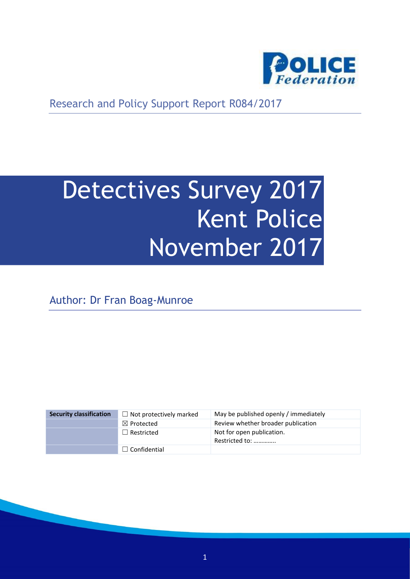

Research and Policy Support Report R084/2017

# Detectives Survey 2017 Kent Police November 2017

Author: Dr Fran Boag-Munroe

| <b>Security classification</b> | $\Box$ Not protectively marked | May be published openly / immediately       |
|--------------------------------|--------------------------------|---------------------------------------------|
|                                | $\boxtimes$ Protected          | Review whether broader publication          |
|                                | $\Box$ Restricted              | Not for open publication.<br>Restricted to: |
|                                | $\Box$ Confidential            |                                             |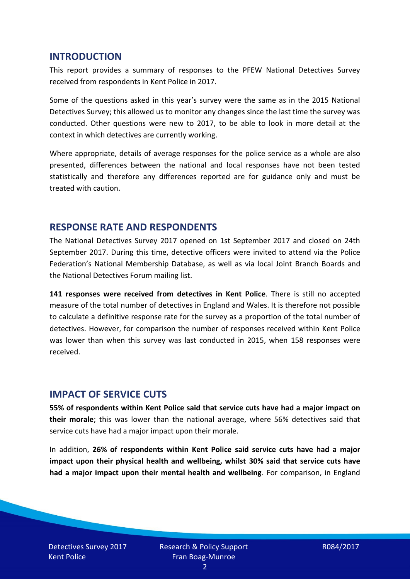#### **INTRODUCTION**

This report provides a summary of responses to the PFEW National Detectives Survey received from respondents in Kent Police in 2017.

Some of the questions asked in this year's survey were the same as in the 2015 National Detectives Survey; this allowed us to monitor any changes since the last time the survey was conducted. Other questions were new to 2017, to be able to look in more detail at the context in which detectives are currently working.

Where appropriate, details of average responses for the police service as a whole are also presented, differences between the national and local responses have not been tested statistically and therefore any differences reported are for guidance only and must be treated with caution.

#### **RESPONSE RATE AND RESPONDENTS**

The National Detectives Survey 2017 opened on 1st September 2017 and closed on 24th September 2017. During this time, detective officers were invited to attend via the Police Federation's National Membership Database, as well as via local Joint Branch Boards and the National Detectives Forum mailing list.

**141 responses were received from detectives in Kent Police**. There is still no accepted measure of the total number of detectives in England and Wales. It is therefore not possible to calculate a definitive response rate for the survey as a proportion of the total number of detectives. However, for comparison the number of responses received within Kent Police was lower than when this survey was last conducted in 2015, when 158 responses were received.

## **IMPACT OF SERVICE CUTS**

**55% of respondents within Kent Police said that service cuts have had a major impact on their morale**; this was lower than the national average, where 56% detectives said that service cuts have had a major impact upon their morale.

In addition, **26% of respondents within Kent Police said service cuts have had a major impact upon their physical health and wellbeing, whilst 30% said that service cuts have had a major impact upon their mental health and wellbeing**. For comparison, in England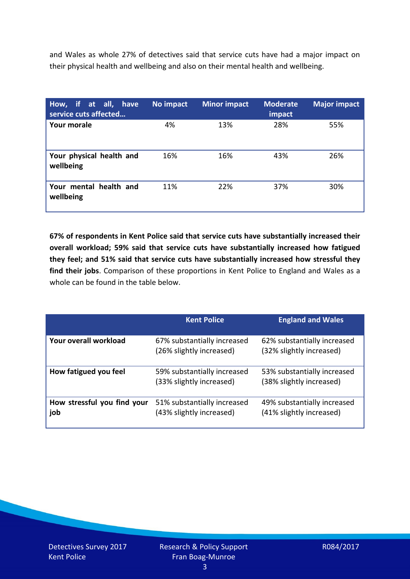and Wales as whole 27% of detectives said that service cuts have had a major impact on their physical health and wellbeing and also on their mental health and wellbeing.

| How, if at all, have<br>service cuts affected | No impact | <b>Minor impact</b> | <b>Moderate</b><br>impact | <b>Major impact</b> |
|-----------------------------------------------|-----------|---------------------|---------------------------|---------------------|
| <b>Your morale</b>                            | 4%        | 13%                 | 28%                       | 55%                 |
| Your physical health and<br>wellbeing         | 16%       | 16%                 | 43%                       | 26%                 |
| Your mental health and<br>wellbeing           | 11%       | 22%                 | 37%                       | 30%                 |

**67% of respondents in Kent Police said that service cuts have substantially increased their overall workload; 59% said that service cuts have substantially increased how fatigued they feel; and 51% said that service cuts have substantially increased how stressful they find their jobs**. Comparison of these proportions in Kent Police to England and Wales as a whole can be found in the table below.

|                                    | <b>Kent Police</b>                                      | <b>England and Wales</b>                                |
|------------------------------------|---------------------------------------------------------|---------------------------------------------------------|
| Your overall workload              | 67% substantially increased<br>(26% slightly increased) | 62% substantially increased<br>(32% slightly increased) |
| How fatigued you feel              | 59% substantially increased<br>(33% slightly increased) | 53% substantially increased<br>(38% slightly increased) |
| How stressful you find your<br>job | 51% substantially increased<br>(43% slightly increased) | 49% substantially increased<br>(41% slightly increased) |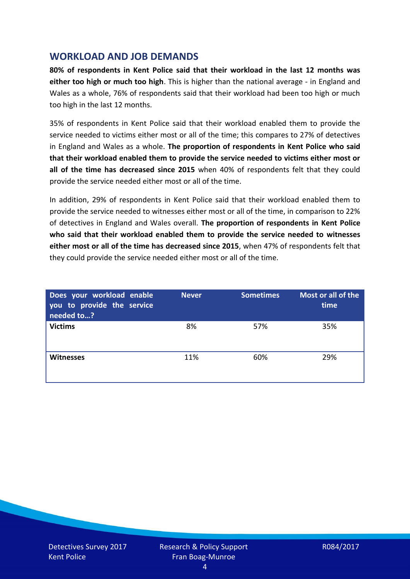## **WORKLOAD AND JOB DEMANDS**

**80% of respondents in Kent Police said that their workload in the last 12 months was either too high or much too high**. This is higher than the national average - in England and Wales as a whole, 76% of respondents said that their workload had been too high or much too high in the last 12 months.

35% of respondents in Kent Police said that their workload enabled them to provide the service needed to victims either most or all of the time; this compares to 27% of detectives in England and Wales as a whole. **The proportion of respondents in Kent Police who said that their workload enabled them to provide the service needed to victims either most or all of the time has decreased since 2015** when 40% of respondents felt that they could provide the service needed either most or all of the time.

In addition, 29% of respondents in Kent Police said that their workload enabled them to provide the service needed to witnesses either most or all of the time, in comparison to 22% of detectives in England and Wales overall. **The proportion of respondents in Kent Police who said that their workload enabled them to provide the service needed to witnesses either most or all of the time has decreased since 2015**, when 47% of respondents felt that they could provide the service needed either most or all of the time.

| Does your workload enable<br>you to provide the service<br>needed to? | <b>Never</b> | <b>Sometimes</b> | Most or all of the<br>time |
|-----------------------------------------------------------------------|--------------|------------------|----------------------------|
| <b>Victims</b>                                                        | 8%           | 57%              | 35%                        |
| <b>Witnesses</b>                                                      | 11%          | 60%              | 29%                        |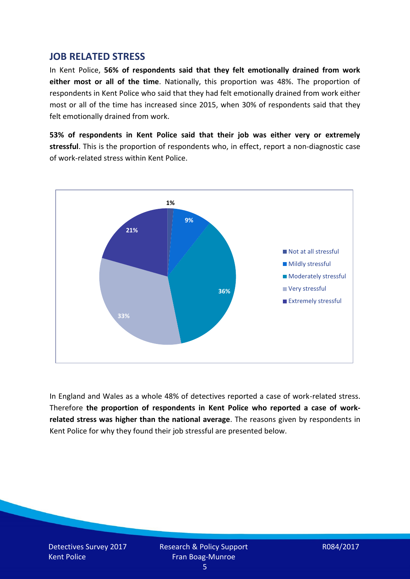#### **JOB RELATED STRESS**

In Kent Police, **56% of respondents said that they felt emotionally drained from work either most or all of the time**. Nationally, this proportion was 48%. The proportion of respondents in Kent Police who said that they had felt emotionally drained from work either most or all of the time has increased since 2015, when 30% of respondents said that they felt emotionally drained from work.

**53% of respondents in Kent Police said that their job was either very or extremely stressful**. This is the proportion of respondents who, in effect, report a non-diagnostic case of work-related stress within Kent Police.



In England and Wales as a whole 48% of detectives reported a case of work-related stress. Therefore **the proportion of respondents in Kent Police who reported a case of workrelated stress was higher than the national average**. The reasons given by respondents in Kent Police for why they found their job stressful are presented below.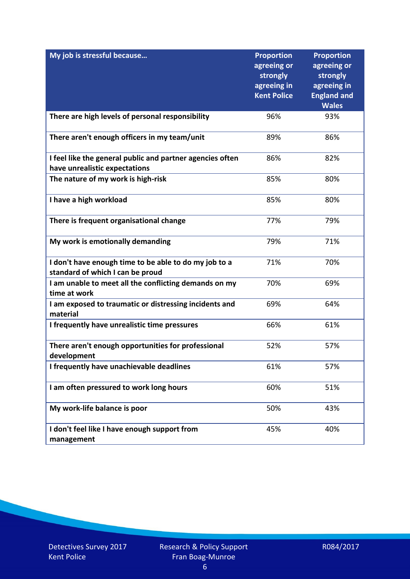| My job is stressful because                                                                | <b>Proportion</b><br>agreeing or<br>strongly<br>agreeing in<br><b>Kent Police</b> | <b>Proportion</b><br>agreeing or<br>strongly<br>agreeing in<br><b>England and</b><br><b>Wales</b> |
|--------------------------------------------------------------------------------------------|-----------------------------------------------------------------------------------|---------------------------------------------------------------------------------------------------|
| There are high levels of personal responsibility                                           | 96%                                                                               | 93%                                                                                               |
| There aren't enough officers in my team/unit                                               | 89%                                                                               | 86%                                                                                               |
| I feel like the general public and partner agencies often<br>have unrealistic expectations | 86%                                                                               | 82%                                                                                               |
| The nature of my work is high-risk                                                         | 85%                                                                               | 80%                                                                                               |
| I have a high workload                                                                     | 85%                                                                               | 80%                                                                                               |
| There is frequent organisational change                                                    | 77%                                                                               | 79%                                                                                               |
| My work is emotionally demanding                                                           | 79%                                                                               | 71%                                                                                               |
| I don't have enough time to be able to do my job to a<br>standard of which I can be proud  | 71%                                                                               | 70%                                                                                               |
| I am unable to meet all the conflicting demands on my<br>time at work                      | 70%                                                                               | 69%                                                                                               |
| I am exposed to traumatic or distressing incidents and<br>material                         | 69%                                                                               | 64%                                                                                               |
| I frequently have unrealistic time pressures                                               | 66%                                                                               | 61%                                                                                               |
| There aren't enough opportunities for professional<br>development                          | 52%                                                                               | 57%                                                                                               |
| I frequently have unachievable deadlines                                                   | 61%                                                                               | 57%                                                                                               |
| I am often pressured to work long hours                                                    | 60%                                                                               | 51%                                                                                               |
| My work-life balance is poor                                                               | 50%                                                                               | 43%                                                                                               |
| I don't feel like I have enough support from<br>management                                 | 45%                                                                               | 40%                                                                                               |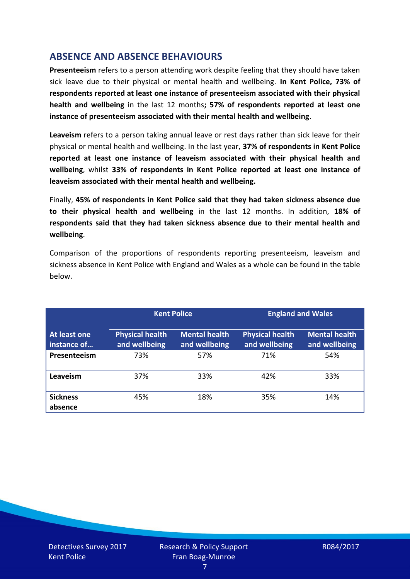# **ABSENCE AND ABSENCE BEHAVIOURS**

**Presenteeism** refers to a person attending work despite feeling that they should have taken sick leave due to their physical or mental health and wellbeing. **In Kent Police, 73% of respondents reported at least one instance of presenteeism associated with their physical health and wellbeing** in the last 12 months**; 57% of respondents reported at least one instance of presenteeism associated with their mental health and wellbeing**.

**Leaveism** refers to a person taking annual leave or rest days rather than sick leave for their physical or mental health and wellbeing. In the last year, **37% of respondents in Kent Police reported at least one instance of leaveism associated with their physical health and wellbeing**, whilst **33% of respondents in Kent Police reported at least one instance of leaveism associated with their mental health and wellbeing.**

Finally, **45% of respondents in Kent Police said that they had taken sickness absence due to their physical health and wellbeing** in the last 12 months. In addition, **18% of respondents said that they had taken sickness absence due to their mental health and wellbeing**.

Comparison of the proportions of respondents reporting presenteeism, leaveism and sickness absence in Kent Police with England and Wales as a whole can be found in the table below.

|                             | <b>Kent Police</b>                      |                                       | <b>England and Wales</b>                |                                       |
|-----------------------------|-----------------------------------------|---------------------------------------|-----------------------------------------|---------------------------------------|
| At least one<br>instance of | <b>Physical health</b><br>and wellbeing | <b>Mental health</b><br>and wellbeing | <b>Physical health</b><br>and wellbeing | <b>Mental health</b><br>and wellbeing |
| Presenteeism                | 73%                                     | 57%                                   | 71%                                     | 54%                                   |
| Leaveism                    | 37%                                     | 33%                                   | 42%                                     | 33%                                   |
| <b>Sickness</b><br>absence  | 45%                                     | 18%                                   | 35%                                     | 14%                                   |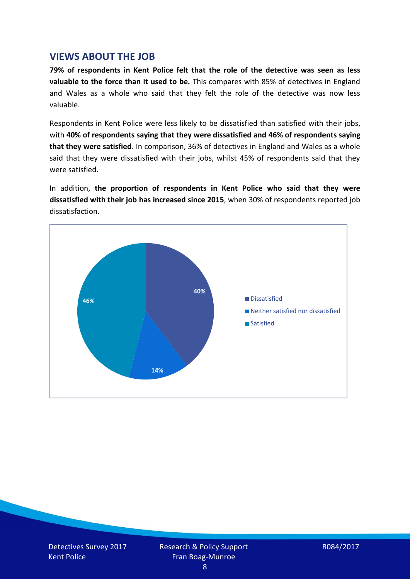### **VIEWS ABOUT THE JOB**

**79% of respondents in Kent Police felt that the role of the detective was seen as less valuable to the force than it used to be.** This compares with 85% of detectives in England and Wales as a whole who said that they felt the role of the detective was now less valuable.

Respondents in Kent Police were less likely to be dissatisfied than satisfied with their jobs, with **40% of respondents saying that they were dissatisfied and 46% of respondents saying that they were satisfied**. In comparison, 36% of detectives in England and Wales as a whole said that they were dissatisfied with their jobs, whilst 45% of respondents said that they were satisfied.

In addition, **the proportion of respondents in Kent Police who said that they were dissatisfied with their job has increased since 2015**, when 30% of respondents reported job dissatisfaction.

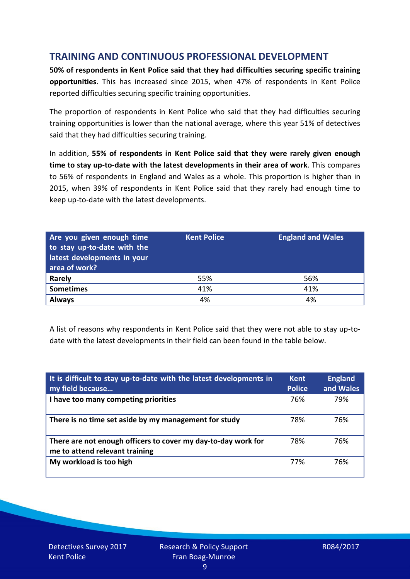# **TRAINING AND CONTINUOUS PROFESSIONAL DEVELOPMENT**

**50% of respondents in Kent Police said that they had difficulties securing specific training opportunities**. This has increased since 2015, when 47% of respondents in Kent Police reported difficulties securing specific training opportunities.

The proportion of respondents in Kent Police who said that they had difficulties securing training opportunities is lower than the national average, where this year 51% of detectives said that they had difficulties securing training.

In addition, **55% of respondents in Kent Police said that they were rarely given enough time to stay up-to-date with the latest developments in their area of work**. This compares to 56% of respondents in England and Wales as a whole. This proportion is higher than in 2015, when 39% of respondents in Kent Police said that they rarely had enough time to keep up-to-date with the latest developments.

| Are you given enough time<br>to stay up-to-date with the<br>latest developments in your<br>area of work? | <b>Kent Police</b> | <b>England and Wales</b> |
|----------------------------------------------------------------------------------------------------------|--------------------|--------------------------|
| Rarely                                                                                                   | 55%                | 56%                      |
| <b>Sometimes</b>                                                                                         | 41%                | 41%                      |
| <b>Always</b>                                                                                            | 4%                 | 4%                       |

A list of reasons why respondents in Kent Police said that they were not able to stay up-todate with the latest developments in their field can been found in the table below.

| It is difficult to stay up-to-date with the latest developments in<br>my field because          | <b>Kent</b><br><b>Police</b> | <b>England</b><br>and Wales |
|-------------------------------------------------------------------------------------------------|------------------------------|-----------------------------|
| I have too many competing priorities                                                            | 76%                          | 79%                         |
| There is no time set aside by my management for study                                           | 78%                          | 76%                         |
| There are not enough officers to cover my day-to-day work for<br>me to attend relevant training | 78%                          | 76%                         |
| My workload is too high                                                                         | 77%                          | 76%                         |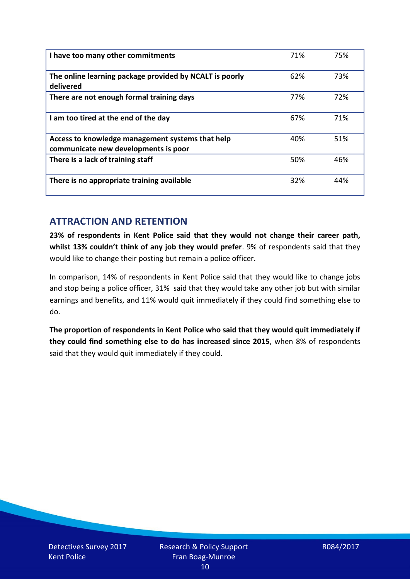| I have too many other commitments                                                        | 71% | 75% |
|------------------------------------------------------------------------------------------|-----|-----|
| The online learning package provided by NCALT is poorly<br>delivered                     | 62% | 73% |
| There are not enough formal training days                                                | 77% | 72% |
| I am too tired at the end of the day                                                     | 67% | 71% |
| Access to knowledge management systems that help<br>communicate new developments is poor | 40% | 51% |
| There is a lack of training staff                                                        | 50% | 46% |
| There is no appropriate training available                                               | 32% | 44% |

## **ATTRACTION AND RETENTION**

**23% of respondents in Kent Police said that they would not change their career path, whilst 13% couldn't think of any job they would prefer**. 9% of respondents said that they would like to change their posting but remain a police officer.

In comparison, 14% of respondents in Kent Police said that they would like to change jobs and stop being a police officer, 31% said that they would take any other job but with similar earnings and benefits, and 11% would quit immediately if they could find something else to do.

**The proportion of respondents in Kent Police who said that they would quit immediately if they could find something else to do has increased since 2015**, when 8% of respondents said that they would quit immediately if they could.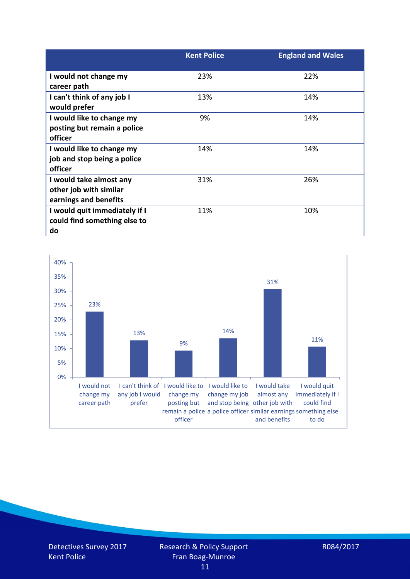|                                                                            | <b>Kent Police</b> | <b>England and Wales</b> |
|----------------------------------------------------------------------------|--------------------|--------------------------|
| I would not change my<br>career path                                       | 23%                | 22%                      |
| I can't think of any job I<br>would prefer                                 | 13%                | 14%                      |
| I would like to change my<br>posting but remain a police<br>officer        | 9%                 | 14%                      |
| I would like to change my<br>job and stop being a police<br>officer        | 14%                | 14%                      |
| I would take almost any<br>other job with similar<br>earnings and benefits | 31%                | 26%                      |
| I would quit immediately if I<br>could find something else to<br>do        | 11%                | 10%                      |